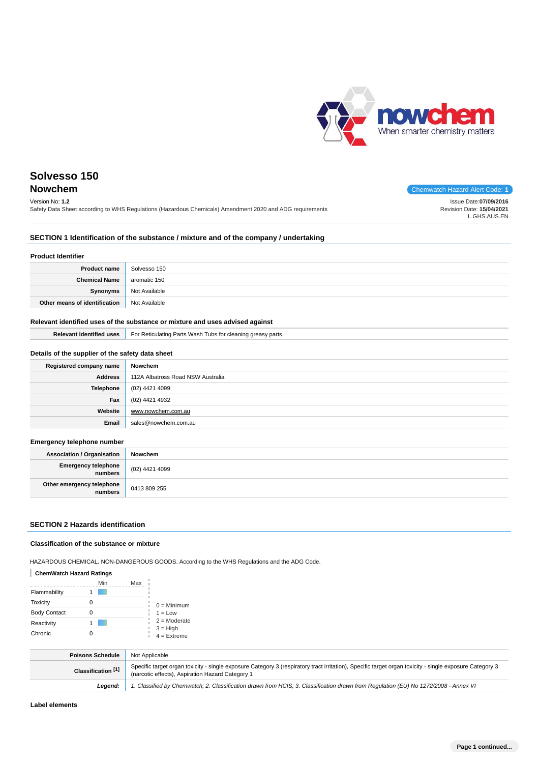

| Solvesso 150                                                                                                                |                                                                    |
|-----------------------------------------------------------------------------------------------------------------------------|--------------------------------------------------------------------|
| <b>Nowchem</b>                                                                                                              | Chemwatch Hazard Alert Code: 1                                     |
| Version No: 1.2<br>Safety Data Sheet according to WHS Regulations (Hazardous Chemicals) Amendment 2020 and ADG reguirements | Issue Date:07/09/2016<br>Revision Date: 15/04/2021<br>L.GHS.AUS.EN |

## **SECTION 1 Identification of the substance / mixture and of the company / undertaking**

#### **Product Identifier**

| <b>Product name</b>           | Solvesso 150  |
|-------------------------------|---------------|
| <b>Chemical Name</b>          | aromatic 150  |
| Synonyms                      | Not Available |
| Other means of identification | Not Available |

## **Relevant identified uses of the substance or mixture and uses advised against**

|  | <b>Relevant identified uses</b>   For Reticulating Parts Wash Tubs for cleaning greasy parts. |
|--|-----------------------------------------------------------------------------------------------|
|--|-----------------------------------------------------------------------------------------------|

## **Details of the supplier of the safety data sheet**

| Registered company name | Nowchem                           |
|-------------------------|-----------------------------------|
| <b>Address</b>          | 112A Albatross Road NSW Australia |
| <b>Telephone</b>        | (02) 4421 4099                    |
| Fax                     | (02) 4421 4932                    |
| Website                 | www.nowchem.com.au                |
| Email                   | sales@nowchem.com.au              |

#### **Emergency telephone number**

| <b>Association / Organisation</b>    | Nowchem        |
|--------------------------------------|----------------|
| Emergency telephone<br>numbers       | (02) 4421 4099 |
| Other emergency telephone<br>numbers | 0413 809 255   |

## **SECTION 2 Hazards identification**

#### **Classification of the substance or mixture**

HAZARDOUS CHEMICAL. NON-DANGEROUS GOODS. According to the WHS Regulations and the ADG Code.

## **ChemWatch Hazard Ratings**

|                     | Min | Max |                             |
|---------------------|-----|-----|-----------------------------|
| Flammability        |     |     |                             |
| <b>Toxicity</b>     |     |     | $0 =$ Minimum               |
| <b>Body Contact</b> |     |     | $1 = Low$                   |
| Reactivity          |     |     | $2 =$ Moderate              |
| Chronic             |     |     | $3 = High$<br>$4 =$ Extreme |

| <b>Poisons Schedule</b>       | Not Applicable                                                                                                                                                                                              |
|-------------------------------|-------------------------------------------------------------------------------------------------------------------------------------------------------------------------------------------------------------|
| Classification <sup>[1]</sup> | Specific target organ toxicity - single exposure Category 3 (respiratory tract irritation), Specific target organ toxicity - single exposure Category 3<br>(narcotic effects), Aspiration Hazard Category 1 |
| Leaend:                       | 1. Classified by Chemwatch; 2. Classification drawn from HCIS; 3. Classification drawn from Regulation (EU) No 1272/2008 - Annex VI                                                                         |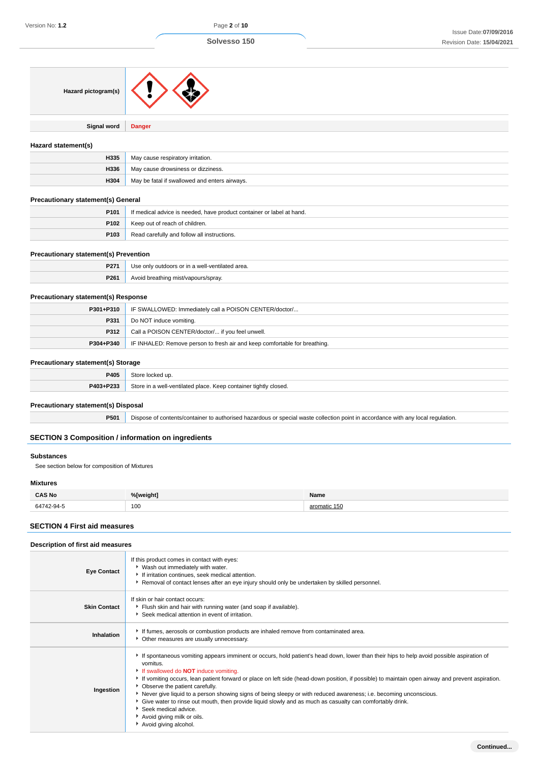| Hazard pictogram(s)                                       |                                                                                                                                  |              |
|-----------------------------------------------------------|----------------------------------------------------------------------------------------------------------------------------------|--------------|
| Signal word                                               | <b>Danger</b>                                                                                                                    |              |
| Hazard statement(s)                                       |                                                                                                                                  |              |
| H335                                                      | May cause respiratory irritation.                                                                                                |              |
| H336                                                      | May cause drowsiness or dizziness.                                                                                               |              |
| H304                                                      | May be fatal if swallowed and enters airways.                                                                                    |              |
| <b>Precautionary statement(s) General</b>                 |                                                                                                                                  |              |
| P101                                                      | If medical advice is needed, have product container or label at hand.                                                            |              |
| P102                                                      | Keep out of reach of children.                                                                                                   |              |
| P103                                                      | Read carefully and follow all instructions.                                                                                      |              |
| <b>Precautionary statement(s) Prevention</b>              |                                                                                                                                  |              |
| P271                                                      | Use only outdoors or in a well-ventilated area.                                                                                  |              |
| P261                                                      | Avoid breathing mist/vapours/spray.                                                                                              |              |
| <b>Precautionary statement(s) Response</b>                |                                                                                                                                  |              |
| P301+P310                                                 | IF SWALLOWED: Immediately call a POISON CENTER/doctor/                                                                           |              |
| P331                                                      | Do NOT induce vomiting.                                                                                                          |              |
| P312                                                      | Call a POISON CENTER/doctor/ if you feel unwell.                                                                                 |              |
| P304+P340                                                 | IF INHALED: Remove person to fresh air and keep comfortable for breathing.                                                       |              |
| <b>Precautionary statement(s) Storage</b>                 |                                                                                                                                  |              |
| P405                                                      | Store locked up.                                                                                                                 |              |
| P403+P233                                                 | Store in a well-ventilated place. Keep container tightly closed.                                                                 |              |
|                                                           |                                                                                                                                  |              |
| Precautionary statement(s) Disposal                       |                                                                                                                                  |              |
| P501                                                      | Dispose of contents/container to authorised hazardous or special waste collection point in accordance with any local regulation. |              |
| <b>SECTION 3 Composition / information on ingredients</b> |                                                                                                                                  |              |
| <b>Substances</b>                                         |                                                                                                                                  |              |
| See section below for composition of Mixtures             |                                                                                                                                  |              |
| <b>Mixtures</b>                                           |                                                                                                                                  |              |
| <b>CAS No</b>                                             | %[weight]                                                                                                                        | Name         |
| 64742-94-5                                                | 100                                                                                                                              | aromatic 150 |
| <b>SECTION 4 First aid measures</b>                       |                                                                                                                                  |              |

| Description of first aid measures |                                                                                                                                                                                                                                                                                                                                                                                                                                                                                                                                                                                                                                                                                                                                     |
|-----------------------------------|-------------------------------------------------------------------------------------------------------------------------------------------------------------------------------------------------------------------------------------------------------------------------------------------------------------------------------------------------------------------------------------------------------------------------------------------------------------------------------------------------------------------------------------------------------------------------------------------------------------------------------------------------------------------------------------------------------------------------------------|
| <b>Eye Contact</b>                | If this product comes in contact with eyes:<br>▶ Wash out immediately with water.<br>If irritation continues, seek medical attention.<br>Removal of contact lenses after an eye injury should only be undertaken by skilled personnel.                                                                                                                                                                                                                                                                                                                                                                                                                                                                                              |
| <b>Skin Contact</b>               | If skin or hair contact occurs:<br>Flush skin and hair with running water (and soap if available).<br>Seek medical attention in event of irritation.                                                                                                                                                                                                                                                                                                                                                                                                                                                                                                                                                                                |
| Inhalation                        | If fumes, aerosols or combustion products are inhaled remove from contaminated area.<br>• Other measures are usually unnecessary.                                                                                                                                                                                                                                                                                                                                                                                                                                                                                                                                                                                                   |
| Ingestion                         | If spontaneous vomiting appears imminent or occurs, hold patient's head down, lower than their hips to help avoid possible aspiration of<br>vomitus.<br>If swallowed do <b>NOT</b> induce vomiting.<br>If vomiting occurs, lean patient forward or place on left side (head-down position, if possible) to maintain open airway and prevent aspiration.<br>• Observe the patient carefully.<br>▶ Never give liquid to a person showing signs of being sleepy or with reduced awareness; i.e. becoming unconscious.<br>Give water to rinse out mouth, then provide liquid slowly and as much as casualty can comfortably drink.<br>$\blacktriangleright$ Seek medical advice.<br>Avoid giving milk or oils.<br>Avoid giving alcohol. |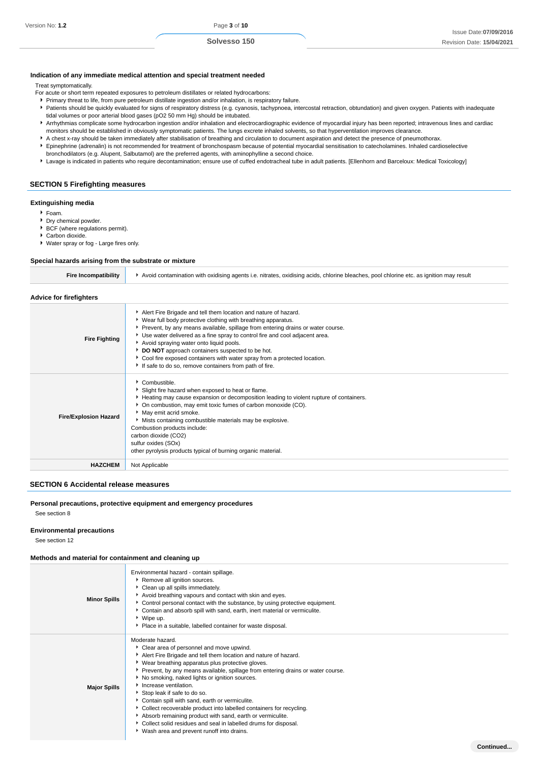#### **Indication of any immediate medical attention and special treatment needed**

Treat symptomatically.

- For acute or short term repeated exposures to petroleum distillates or related hydrocarbons:
- Primary threat to life, from pure petroleum distillate ingestion and/or inhalation, is respiratory failure.
- Patients should be quickly evaluated for signs of respiratory distress (e.g. cyanosis, tachypnoea, intercostal retraction, obtundation) and given oxygen. Patients with inadequate tidal volumes or poor arterial blood gases (pO2 50 mm Hg) should be intubated.
- Arrhythmias complicate some hydrocarbon ingestion and/or inhalation and electrocardiographic evidence of myocardial injury has been reported; intravenous lines and cardiac monitors should be established in obviously symptomatic patients. The lungs excrete inhaled solvents, so that hyperventilation improves clearance.
- A chest x-ray should be taken immediately after stabilisation of breathing and circulation to document aspiration and detect the presence of pneumothorax. Epinephrine (adrenalin) is not recommended for treatment of bronchospasm because of potential myocardial sensitisation to catecholamines. Inhaled cardioselective
- bronchodilators (e.g. Alupent, Salbutamol) are the preferred agents, with aminophylline a second choice.

If safe to do so, remove containers from path of fire.

Slight fire hazard when exposed to heat or flame.

On combustion, may emit toxic fumes of carbon monoxide (CO).

Mists containing combustible materials may be explosive.

other pyrolysis products typical of burning organic material.

Lavage is indicated in patients who require decontamination; ensure use of cuffed endotracheal tube in adult patients. [Ellenhorn and Barceloux: Medical Toxicology]

#### **SECTION 5 Firefighting measures**

#### **Extinguishing media**

- Foam.
- Dry chemical powder.
- **BCF** (where regulations permit).
- Carbon dioxide. Water spray or fog - Large fires only.

**Fire/Explosion Hazard**

# **Special hazards arising from the substrate or mixture**

| <b>Fire Incompatibility</b>    | Avoid contamination with oxidising agents i.e. nitrates, oxidising acids, chlorine bleaches, pool chlorine etc. as ignition may result                                                                                                                                                                                                                                                                                                                                          |  |
|--------------------------------|---------------------------------------------------------------------------------------------------------------------------------------------------------------------------------------------------------------------------------------------------------------------------------------------------------------------------------------------------------------------------------------------------------------------------------------------------------------------------------|--|
| <b>Advice for firefighters</b> |                                                                                                                                                                                                                                                                                                                                                                                                                                                                                 |  |
| <b>Fire Fighting</b>           | Alert Fire Brigade and tell them location and nature of hazard.<br>▶ Wear full body protective clothing with breathing apparatus.<br>Prevent, by any means available, spillage from entering drains or water course.<br>Use water delivered as a fine spray to control fire and cool adjacent area.<br>Avoid spraying water onto liquid pools.<br>DO NOT approach containers suspected to be hot.<br>• Cool fire exposed containers with water spray from a protected location. |  |

Heating may cause expansion or decomposition leading to violent rupture of containers.

| <b>SECTION 6 Accidental release measures</b> |  |
|----------------------------------------------|--|
|                                              |  |

**HAZCHEM** Not Applicable

Combustible.

May emit acrid smoke.

Combustion products include: carbon dioxide (CO2) sulfur oxides (SOx)

## **Personal precautions, protective equipment and emergency procedures**

See section 8

#### **Environmental precautions**

See section 12

#### **Methods and material for containment and cleaning up**

| <b>Minor Spills</b> | Environmental hazard - contain spillage.<br>Remove all ignition sources.<br>Clean up all spills immediately.<br>Avoid breathing vapours and contact with skin and eyes.<br>• Control personal contact with the substance, by using protective equipment.<br>Contain and absorb spill with sand, earth, inert material or vermiculite.<br>▶ Wipe up.<br>• Place in a suitable, labelled container for waste disposal.                                                                                                                                                                                                                                                                        |
|---------------------|---------------------------------------------------------------------------------------------------------------------------------------------------------------------------------------------------------------------------------------------------------------------------------------------------------------------------------------------------------------------------------------------------------------------------------------------------------------------------------------------------------------------------------------------------------------------------------------------------------------------------------------------------------------------------------------------|
| <b>Major Spills</b> | Moderate hazard.<br>Clear area of personnel and move upwind.<br>Alert Fire Brigade and tell them location and nature of hazard.<br>▶ Wear breathing apparatus plus protective gloves.<br>▶ Prevent, by any means available, spillage from entering drains or water course.<br>No smoking, naked lights or ignition sources.<br>Increase ventilation.<br>Stop leak if safe to do so.<br>Contain spill with sand, earth or vermiculite.<br>Collect recoverable product into labelled containers for recycling.<br>Absorb remaining product with sand, earth or vermiculite.<br>Collect solid residues and seal in labelled drums for disposal.<br>▶ Wash area and prevent runoff into drains. |
|                     | Continued.                                                                                                                                                                                                                                                                                                                                                                                                                                                                                                                                                                                                                                                                                  |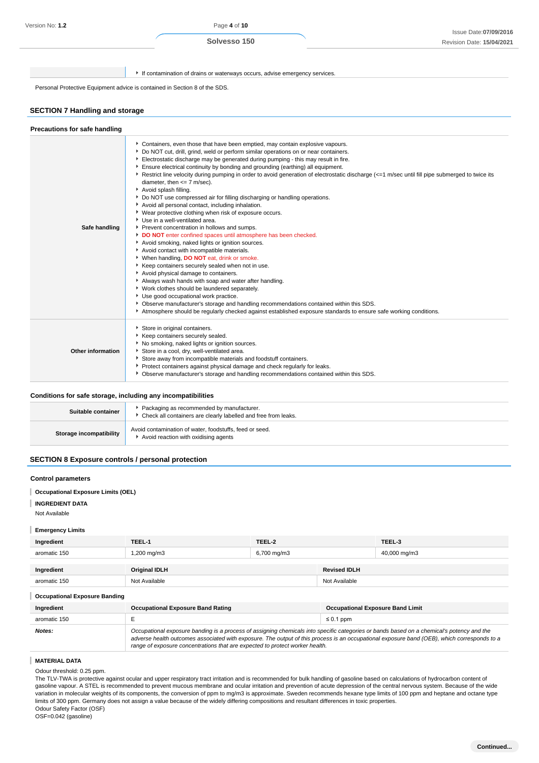If contamination of drains or waterways occurs, advise emergency services.

Personal Protective Equipment advice is contained in Section 8 of the SDS.

## **SECTION 7 Handling and storage**

| Precautions for safe handling |                                                                                                                                                                                                                                                                                                                                                                                                                                                                                                                                                                                                                                                                                                                                                                                                                                                                                                                                                                                                                                                                                                                                                                                                                                                                                                                                                                                                                                                                                                                               |
|-------------------------------|-------------------------------------------------------------------------------------------------------------------------------------------------------------------------------------------------------------------------------------------------------------------------------------------------------------------------------------------------------------------------------------------------------------------------------------------------------------------------------------------------------------------------------------------------------------------------------------------------------------------------------------------------------------------------------------------------------------------------------------------------------------------------------------------------------------------------------------------------------------------------------------------------------------------------------------------------------------------------------------------------------------------------------------------------------------------------------------------------------------------------------------------------------------------------------------------------------------------------------------------------------------------------------------------------------------------------------------------------------------------------------------------------------------------------------------------------------------------------------------------------------------------------------|
| Safe handling                 | Containers, even those that have been emptied, may contain explosive vapours.<br>Do NOT cut, drill, grind, weld or perform similar operations on or near containers.<br>Electrostatic discharge may be generated during pumping - this may result in fire.<br>Ensure electrical continuity by bonding and grounding (earthing) all equipment.<br>Restrict line velocity during pumping in order to avoid generation of electrostatic discharge (<=1 m/sec until fill pipe submerged to twice its<br>diameter, then $\leq$ 7 m/sec).<br>Avoid splash filling.<br>▶ Do NOT use compressed air for filling discharging or handling operations.<br>Avoid all personal contact, including inhalation.<br>• Wear protective clothing when risk of exposure occurs.<br>Use in a well-ventilated area.<br>Prevent concentration in hollows and sumps.<br>DO NOT enter confined spaces until atmosphere has been checked.<br>Avoid smoking, naked lights or ignition sources.<br>Avoid contact with incompatible materials.<br>Vhen handling, DO NOT eat, drink or smoke.<br>Keep containers securely sealed when not in use.<br>Avoid physical damage to containers.<br>Always wash hands with soap and water after handling.<br>Vork clothes should be laundered separately.<br>Use good occupational work practice.<br>▶ Observe manufacturer's storage and handling recommendations contained within this SDS.<br>Atmosphere should be regularly checked against established exposure standards to ensure safe working conditions. |
| Other information             | Store in original containers.<br>Keep containers securely sealed.<br>No smoking, naked lights or ignition sources.<br>Store in a cool, dry, well-ventilated area.<br>Store away from incompatible materials and foodstuff containers.<br>Protect containers against physical damage and check regularly for leaks.<br>▶ Observe manufacturer's storage and handling recommendations contained within this SDS.                                                                                                                                                                                                                                                                                                                                                                                                                                                                                                                                                                                                                                                                                                                                                                                                                                                                                                                                                                                                                                                                                                                |

## **Conditions for safe storage, including any incompatibilities**

| Suitable container      | Packaging as recommended by manufacturer.<br>Check all containers are clearly labelled and free from leaks. |
|-------------------------|-------------------------------------------------------------------------------------------------------------|
| Storage incompatibility | Avoid contamination of water, foodstuffs, feed or seed.<br>Avoid reaction with oxidising agents             |

## **SECTION 8 Exposure controls / personal protection**

#### **Control parameters**

- **Occupational Exposure Limits (OEL)**
- T **INGREDIENT DATA**

Not Available

#### **Emergency Limits**

| Ingredient   | TEEL-1               | TEEL-2      |                     | TEEL-3       |
|--------------|----------------------|-------------|---------------------|--------------|
| aromatic 150 | 1,200 mg/m3          | 6,700 mg/m3 |                     | 40,000 mg/m3 |
|              |                      |             |                     |              |
| Ingredient   | <b>Original IDLH</b> |             | <b>Revised IDLH</b> |              |
| aromatic 150 | Not Available        |             | Not Available       |              |

## **Occupational Exposure Banding**

| Ingredient   | <b>Occupational Exposure Band Rating</b>                                                                                                                                                                                                                                                                                                                                 | <b>Occupational Exposure Band Limit</b> |
|--------------|--------------------------------------------------------------------------------------------------------------------------------------------------------------------------------------------------------------------------------------------------------------------------------------------------------------------------------------------------------------------------|-----------------------------------------|
| aromatic 150 |                                                                                                                                                                                                                                                                                                                                                                          | $\leq 0.1$ ppm                          |
| Notes:       | Occupational exposure banding is a process of assigning chemicals into specific categories or bands based on a chemical's potency and the<br>adverse health outcomes associated with exposure. The output of this process is an occupational exposure band (OEB), which corresponds to a<br>range of exposure concentrations that are expected to protect worker health. |                                         |

## **MATERIAL DATA**

Odour threshold: 0.25 ppm.

The TLV-TWA is protective against ocular and upper respiratory tract irritation and is recommended for bulk handling of gasoline based on calculations of hydrocarbon content of gasoline vapour. A STEL is recommended to prevent mucous membrane and ocular irritation and prevention of acute depression of the central nervous system. Because of the wide variation in molecular weights of its components, the conversion of ppm to mg/m3 is approximate. Sweden recommends hexane type limits of 100 ppm and heptane and octane type limits of 300 ppm. Germany does not assign a value because of the widely differing compositions and resultant differences in toxic properties. Odour Safety Factor (OSF)

OSF=0.042 (gasoline)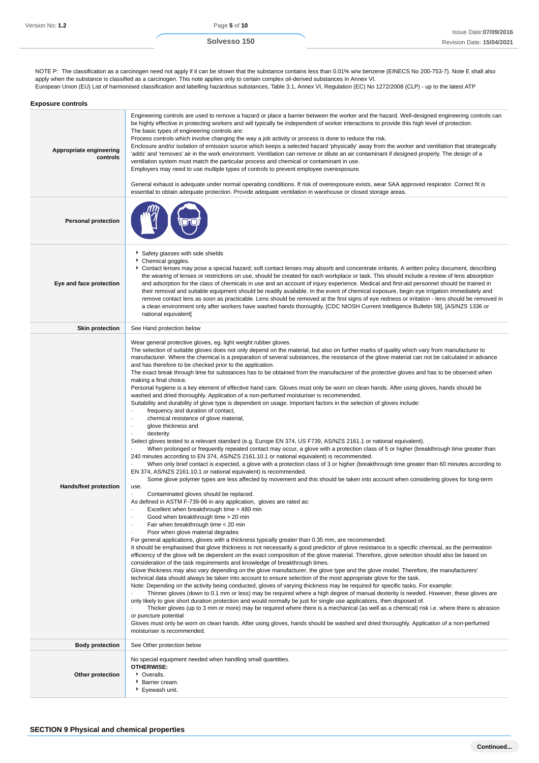NOTE P: The classification as a carcinogen need not apply if it can be shown that the substance contains less than 0.01% w/w benzene (EINECS No 200-753-7). Note E shall also apply when the substance is classified as a carcinogen. This note applies only to certain complex oil-derived substances in Annex VI. European Union (EU) List of harmonised classification and labelling hazardous substances, Table 3.1, Annex VI, Regulation (EC) No 1272/2008 (CLP) - up to the latest ATP

| <b>Exposure controls</b>            |                                                                                                                                                                                                                                                                                                                                                                                                                                                                                                                                                                                                                                                                                                                                                                                                                                                                                                                                                                                                                                                                                                                                                                                                                                                                                                                                                                                                                                                                                                                                                                                                                                                                                                                                                                                                                                                                                                                                                                                                                                                                                                                                                                                                                                                                                                                                                                                                                                                                                                                                                                                                                                                                                                                                                                                                                                                                                                                                                                                                                                                                                                                                                                                                                                                                                                                                                                                                                                                                                                                                                                                                                                                                                     |
|-------------------------------------|-------------------------------------------------------------------------------------------------------------------------------------------------------------------------------------------------------------------------------------------------------------------------------------------------------------------------------------------------------------------------------------------------------------------------------------------------------------------------------------------------------------------------------------------------------------------------------------------------------------------------------------------------------------------------------------------------------------------------------------------------------------------------------------------------------------------------------------------------------------------------------------------------------------------------------------------------------------------------------------------------------------------------------------------------------------------------------------------------------------------------------------------------------------------------------------------------------------------------------------------------------------------------------------------------------------------------------------------------------------------------------------------------------------------------------------------------------------------------------------------------------------------------------------------------------------------------------------------------------------------------------------------------------------------------------------------------------------------------------------------------------------------------------------------------------------------------------------------------------------------------------------------------------------------------------------------------------------------------------------------------------------------------------------------------------------------------------------------------------------------------------------------------------------------------------------------------------------------------------------------------------------------------------------------------------------------------------------------------------------------------------------------------------------------------------------------------------------------------------------------------------------------------------------------------------------------------------------------------------------------------------------------------------------------------------------------------------------------------------------------------------------------------------------------------------------------------------------------------------------------------------------------------------------------------------------------------------------------------------------------------------------------------------------------------------------------------------------------------------------------------------------------------------------------------------------------------------------------------------------------------------------------------------------------------------------------------------------------------------------------------------------------------------------------------------------------------------------------------------------------------------------------------------------------------------------------------------------------------------------------------------------------------------------------------------------|
| Appropriate engineering<br>controls | Engineering controls are used to remove a hazard or place a barrier between the worker and the hazard. Well-designed engineering controls can<br>be highly effective in protecting workers and will typically be independent of worker interactions to provide this high level of protection.<br>The basic types of engineering controls are:<br>Process controls which involve changing the way a job activity or process is done to reduce the risk.<br>Enclosure and/or isolation of emission source which keeps a selected hazard 'physically' away from the worker and ventilation that strategically<br>'adds' and 'removes' air in the work environment. Ventilation can remove or dilute an air contaminant if designed properly. The design of a<br>ventilation system must match the particular process and chemical or contaminant in use.<br>Employers may need to use multiple types of controls to prevent employee overexposure.<br>General exhaust is adequate under normal operating conditions. If risk of overexposure exists, wear SAA approved respirator. Correct fit is<br>essential to obtain adequate protection. Provide adequate ventilation in warehouse or closed storage areas.                                                                                                                                                                                                                                                                                                                                                                                                                                                                                                                                                                                                                                                                                                                                                                                                                                                                                                                                                                                                                                                                                                                                                                                                                                                                                                                                                                                                                                                                                                                                                                                                                                                                                                                                                                                                                                                                                                                                                                                                                                                                                                                                                                                                                                                                                                                                                                                                                                                                       |
| <b>Personal protection</b>          |                                                                                                                                                                                                                                                                                                                                                                                                                                                                                                                                                                                                                                                                                                                                                                                                                                                                                                                                                                                                                                                                                                                                                                                                                                                                                                                                                                                                                                                                                                                                                                                                                                                                                                                                                                                                                                                                                                                                                                                                                                                                                                                                                                                                                                                                                                                                                                                                                                                                                                                                                                                                                                                                                                                                                                                                                                                                                                                                                                                                                                                                                                                                                                                                                                                                                                                                                                                                                                                                                                                                                                                                                                                                                     |
| Eye and face protection             | Safety glasses with side shields<br>Chemical goggles.<br>Contact lenses may pose a special hazard; soft contact lenses may absorb and concentrate irritants. A written policy document, describing<br>the wearing of lenses or restrictions on use, should be created for each workplace or task. This should include a review of lens absorption<br>and adsorption for the class of chemicals in use and an account of injury experience. Medical and first-aid personnel should be trained in<br>their removal and suitable equipment should be readily available. In the event of chemical exposure, begin eye irrigation immediately and<br>remove contact lens as soon as practicable. Lens should be removed at the first signs of eye redness or irritation - lens should be removed in<br>a clean environment only after workers have washed hands thoroughly. [CDC NIOSH Current Intelligence Bulletin 59], [AS/NZS 1336 or<br>national equivalent]                                                                                                                                                                                                                                                                                                                                                                                                                                                                                                                                                                                                                                                                                                                                                                                                                                                                                                                                                                                                                                                                                                                                                                                                                                                                                                                                                                                                                                                                                                                                                                                                                                                                                                                                                                                                                                                                                                                                                                                                                                                                                                                                                                                                                                                                                                                                                                                                                                                                                                                                                                                                                                                                                                                        |
| <b>Skin protection</b>              | See Hand protection below                                                                                                                                                                                                                                                                                                                                                                                                                                                                                                                                                                                                                                                                                                                                                                                                                                                                                                                                                                                                                                                                                                                                                                                                                                                                                                                                                                                                                                                                                                                                                                                                                                                                                                                                                                                                                                                                                                                                                                                                                                                                                                                                                                                                                                                                                                                                                                                                                                                                                                                                                                                                                                                                                                                                                                                                                                                                                                                                                                                                                                                                                                                                                                                                                                                                                                                                                                                                                                                                                                                                                                                                                                                           |
| Hands/feet protection               | Wear general protective gloves, eg. light weight rubber gloves.<br>The selection of suitable gloves does not only depend on the material, but also on further marks of quality which vary from manufacturer to<br>manufacturer. Where the chemical is a preparation of several substances, the resistance of the glove material can not be calculated in advance<br>and has therefore to be checked prior to the application.<br>The exact break through time for substances has to be obtained from the manufacturer of the protective gloves and has to be observed when<br>making a final choice.<br>Personal hygiene is a key element of effective hand care. Gloves must only be worn on clean hands. After using gloves, hands should be<br>washed and dried thoroughly. Application of a non-perfumed moisturiser is recommended.<br>Suitability and durability of glove type is dependent on usage. Important factors in the selection of gloves include:<br>frequency and duration of contact,<br>chemical resistance of glove material,<br>٠<br>glove thickness and<br>٠<br>dexterity<br>Select gloves tested to a relevant standard (e.g. Europe EN 374, US F739, AS/NZS 2161.1 or national equivalent).<br>When prolonged or frequently repeated contact may occur, a glove with a protection class of 5 or higher (breakthrough time greater than<br>240 minutes according to EN 374, AS/NZS 2161.10.1 or national equivalent) is recommended.<br>When only brief contact is expected, a glove with a protection class of 3 or higher (breakthrough time greater than 60 minutes according to<br>EN 374, AS/NZS 2161.10.1 or national equivalent) is recommended.<br>Some glove polymer types are less affected by movement and this should be taken into account when considering gloves for long-term<br>$\centering \label{eq:reduced}$<br>use.<br>Contaminated gloves should be replaced.<br>As defined in ASTM F-739-96 in any application, gloves are rated as:<br>Excellent when breakthrough time > 480 min<br>$\cdot$<br>Good when breakthrough time > 20 min<br>Fair when breakthrough time < 20 min<br>٠<br>Poor when glove material degrades<br>٠<br>For general applications, gloves with a thickness typically greater than 0.35 mm, are recommended.<br>It should be emphasised that glove thickness is not necessarily a good predictor of glove resistance to a specific chemical, as the permeation<br>efficiency of the glove will be dependent on the exact composition of the glove material. Therefore, glove selection should also be based on<br>consideration of the task requirements and knowledge of breakthrough times.<br>Glove thickness may also vary depending on the glove manufacturer, the glove type and the glove model. Therefore, the manufacturers'<br>technical data should always be taken into account to ensure selection of the most appropriate glove for the task.<br>Note: Depending on the activity being conducted, gloves of varying thickness may be required for specific tasks. For example:<br>Thinner gloves (down to 0.1 mm or less) may be required where a high degree of manual dexterity is needed. However, these gloves are<br>only likely to give short duration protection and would normally be just for single use applications, then disposed of.<br>Thicker gloves (up to 3 mm or more) may be required where there is a mechanical (as well as a chemical) risk i.e. where there is abrasion<br>or puncture potential<br>Gloves must only be worn on clean hands. After using gloves, hands should be washed and dried thoroughly. Application of a non-perfumed<br>moisturiser is recommended. |
| <b>Body protection</b>              | See Other protection below                                                                                                                                                                                                                                                                                                                                                                                                                                                                                                                                                                                                                                                                                                                                                                                                                                                                                                                                                                                                                                                                                                                                                                                                                                                                                                                                                                                                                                                                                                                                                                                                                                                                                                                                                                                                                                                                                                                                                                                                                                                                                                                                                                                                                                                                                                                                                                                                                                                                                                                                                                                                                                                                                                                                                                                                                                                                                                                                                                                                                                                                                                                                                                                                                                                                                                                                                                                                                                                                                                                                                                                                                                                          |
| Other protection                    | No special equipment needed when handling small quantities.<br><b>OTHERWISE:</b><br>• Overalls.<br>Barrier cream.<br>▶ Eyewash unit.                                                                                                                                                                                                                                                                                                                                                                                                                                                                                                                                                                                                                                                                                                                                                                                                                                                                                                                                                                                                                                                                                                                                                                                                                                                                                                                                                                                                                                                                                                                                                                                                                                                                                                                                                                                                                                                                                                                                                                                                                                                                                                                                                                                                                                                                                                                                                                                                                                                                                                                                                                                                                                                                                                                                                                                                                                                                                                                                                                                                                                                                                                                                                                                                                                                                                                                                                                                                                                                                                                                                                |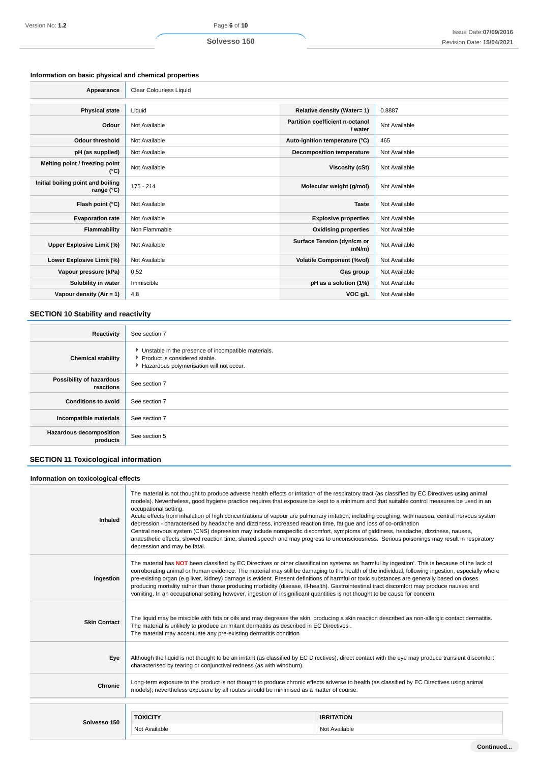## **Information on basic physical and chemical properties**

ĭ

| Appearance                                      | Clear Colourless Liquid |                                            |               |
|-------------------------------------------------|-------------------------|--------------------------------------------|---------------|
|                                                 |                         |                                            |               |
| <b>Physical state</b>                           | Liquid                  | Relative density (Water= 1)                | 0.8887        |
| Odour                                           | Not Available           | Partition coefficient n-octanol<br>/ water | Not Available |
| <b>Odour threshold</b>                          | Not Available           | Auto-ignition temperature (°C)             | 465           |
| pH (as supplied)                                | Not Available           | <b>Decomposition temperature</b>           | Not Available |
| Melting point / freezing point<br>(°C)          | Not Available           | Viscosity (cSt)                            | Not Available |
| Initial boiling point and boiling<br>range (°C) | 175 - 214               | Molecular weight (g/mol)                   | Not Available |
| Flash point (°C)                                | Not Available           | <b>Taste</b>                               | Not Available |
| <b>Evaporation rate</b>                         | Not Available           | <b>Explosive properties</b>                | Not Available |
| Flammability                                    | Non Flammable           | <b>Oxidising properties</b>                | Not Available |
| Upper Explosive Limit (%)                       | Not Available           | Surface Tension (dyn/cm or<br>$mN/m$ )     | Not Available |
| Lower Explosive Limit (%)                       | Not Available           | <b>Volatile Component (%vol)</b>           | Not Available |
| Vapour pressure (kPa)                           | 0.52                    | Gas group                                  | Not Available |
| Solubility in water                             | Immiscible              | pH as a solution (1%)                      | Not Available |
| Vapour density (Air = 1)                        | 4.8                     | VOC g/L                                    | Not Available |

# **SECTION 10 Stability and reactivity**

| Reactivity                                 | See section 7                                                                                                                      |
|--------------------------------------------|------------------------------------------------------------------------------------------------------------------------------------|
| <b>Chemical stability</b>                  | • Unstable in the presence of incompatible materials.<br>Product is considered stable.<br>Hazardous polymerisation will not occur. |
| Possibility of hazardous<br>reactions      | See section 7                                                                                                                      |
| <b>Conditions to avoid</b>                 | See section 7                                                                                                                      |
| Incompatible materials                     | See section 7                                                                                                                      |
| <b>Hazardous decomposition</b><br>products | See section 5                                                                                                                      |

# **SECTION 11 Toxicological information**

| Information on toxicological effects |                                                                                                                                                                                                                                                                                                                                                                                                                                                                                                                                                                                                                                                                                                                                                                                                                                                                                                                   |                   |  |
|--------------------------------------|-------------------------------------------------------------------------------------------------------------------------------------------------------------------------------------------------------------------------------------------------------------------------------------------------------------------------------------------------------------------------------------------------------------------------------------------------------------------------------------------------------------------------------------------------------------------------------------------------------------------------------------------------------------------------------------------------------------------------------------------------------------------------------------------------------------------------------------------------------------------------------------------------------------------|-------------------|--|
| Inhaled                              | The material is not thought to produce adverse health effects or irritation of the respiratory tract (as classified by EC Directives using animal<br>models). Nevertheless, good hygiene practice requires that exposure be kept to a minimum and that suitable control measures be used in an<br>occupational setting.<br>Acute effects from inhalation of high concentrations of vapour are pulmonary irritation, including coughing, with nausea; central nervous system<br>depression - characterised by headache and dizziness, increased reaction time, fatique and loss of co-ordination<br>Central nervous system (CNS) depression may include nonspecific discomfort, symptoms of giddiness, headache, dizziness, nausea,<br>anaesthetic effects, slowed reaction time, slurred speech and may progress to unconsciousness. Serious poisonings may result in respiratory<br>depression and may be fatal. |                   |  |
| Ingestion                            | The material has NOT been classified by EC Directives or other classification systems as 'harmful by ingestion'. This is because of the lack of<br>corroborating animal or human evidence. The material may still be damaging to the health of the individual, following ingestion, especially where<br>pre-existing organ (e.g liver, kidney) damage is evident. Present definitions of harmful or toxic substances are generally based on doses<br>producing mortality rather than those producing morbidity (disease, ill-health). Gastrointestinal tract discomfort may produce nausea and<br>vomiting. In an occupational setting however, ingestion of insignificant quantities is not thought to be cause for concern.                                                                                                                                                                                     |                   |  |
| <b>Skin Contact</b>                  | The liquid may be miscible with fats or oils and may degrease the skin, producing a skin reaction described as non-allergic contact dermatitis.<br>The material is unlikely to produce an irritant dermatitis as described in EC Directives.<br>The material may accentuate any pre-existing dermatitis condition                                                                                                                                                                                                                                                                                                                                                                                                                                                                                                                                                                                                 |                   |  |
| Eye                                  | Although the liquid is not thought to be an irritant (as classified by EC Directives), direct contact with the eye may produce transient discomfort<br>characterised by tearing or conjunctival redness (as with windburn).                                                                                                                                                                                                                                                                                                                                                                                                                                                                                                                                                                                                                                                                                       |                   |  |
| Chronic                              | Long-term exposure to the product is not thought to produce chronic effects adverse to health (as classified by EC Directives using animal<br>models); nevertheless exposure by all routes should be minimised as a matter of course.                                                                                                                                                                                                                                                                                                                                                                                                                                                                                                                                                                                                                                                                             |                   |  |
|                                      |                                                                                                                                                                                                                                                                                                                                                                                                                                                                                                                                                                                                                                                                                                                                                                                                                                                                                                                   |                   |  |
| Solvesso 150                         | <b>TOXICITY</b>                                                                                                                                                                                                                                                                                                                                                                                                                                                                                                                                                                                                                                                                                                                                                                                                                                                                                                   | <b>IRRITATION</b> |  |
|                                      | Not Available                                                                                                                                                                                                                                                                                                                                                                                                                                                                                                                                                                                                                                                                                                                                                                                                                                                                                                     | Not Available     |  |
|                                      |                                                                                                                                                                                                                                                                                                                                                                                                                                                                                                                                                                                                                                                                                                                                                                                                                                                                                                                   |                   |  |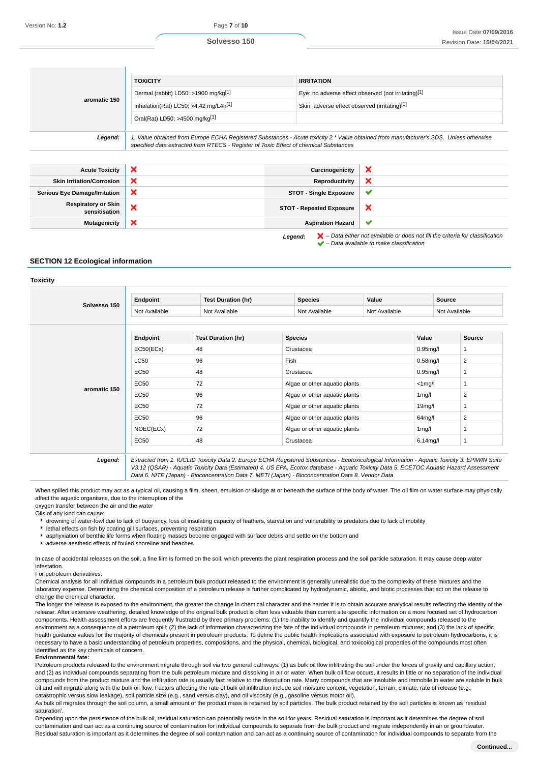|                                             | <b>TOXICITY</b>                                                                                                                                                                                                                 | <b>IRRITATION</b>                             |                                                                                                                                                                     |  |
|---------------------------------------------|---------------------------------------------------------------------------------------------------------------------------------------------------------------------------------------------------------------------------------|-----------------------------------------------|---------------------------------------------------------------------------------------------------------------------------------------------------------------------|--|
|                                             | Dermal (rabbit) LD50: >1900 mg/kg[1]                                                                                                                                                                                            |                                               | Eye: no adverse effect observed (not irritating)[1]                                                                                                                 |  |
| aromatic 150                                | Inhalation(Rat) LC50; >4.42 mg/L4 $h[1]$                                                                                                                                                                                        | Skin: adverse effect observed (irritating)[1] |                                                                                                                                                                     |  |
|                                             | Oral(Rat) LD50; >4500 mg/kg[1]                                                                                                                                                                                                  |                                               |                                                                                                                                                                     |  |
| Legend:                                     | 1. Value obtained from Europe ECHA Registered Substances - Acute toxicity 2.* Value obtained from manufacturer's SDS. Unless otherwise<br>specified data extracted from RTECS - Register of Toxic Effect of chemical Substances |                                               |                                                                                                                                                                     |  |
|                                             |                                                                                                                                                                                                                                 |                                               |                                                                                                                                                                     |  |
| <b>Acute Toxicity</b>                       | ×                                                                                                                                                                                                                               | Carcinogenicity                               | ×                                                                                                                                                                   |  |
| <b>Skin Irritation/Corrosion</b>            | ×                                                                                                                                                                                                                               | <b>Reproductivity</b>                         | ×                                                                                                                                                                   |  |
| <b>Serious Eye Damage/Irritation</b>        | ×                                                                                                                                                                                                                               | <b>STOT - Single Exposure</b>                 | ✔                                                                                                                                                                   |  |
| <b>Respiratory or Skin</b><br>sensitisation | ×                                                                                                                                                                                                                               | <b>STOT - Repeated Exposure</b>               | ×                                                                                                                                                                   |  |
| <b>Mutagenicity</b>                         | ×                                                                                                                                                                                                                               | <b>Aspiration Hazard</b>                      | $\checkmark$                                                                                                                                                        |  |
|                                             |                                                                                                                                                                                                                                 | Legend:                                       | $\blacktriangleright$ – Data either not available or does not fill the criteria for classification<br>$\blacktriangleright$ - Data available to make classification |  |

#### **SECTION 12 Ecological information**

**Toxicity**

| Solvesso 150 | Endpoint      | <b>Test Duration (hr)</b> | <b>Species</b> | Value                         |             | Source         |
|--------------|---------------|---------------------------|----------------|-------------------------------|-------------|----------------|
|              | Not Available | Not Available             | Not Available  | Not Available                 |             | Not Available  |
|              |               |                           |                |                               |             |                |
|              | Endpoint      | <b>Test Duration (hr)</b> | <b>Species</b> |                               | Value       | <b>Source</b>  |
|              | EC50(ECx)     | 48                        | Crustacea      |                               | $0.95$ mg/l | 1              |
| aromatic 150 | <b>LC50</b>   | 96                        | Fish           |                               |             | 2              |
|              | <b>EC50</b>   | 48                        | Crustacea      |                               |             |                |
|              | <b>EC50</b>   | 72                        |                | Algae or other aquatic plants |             |                |
|              | <b>EC50</b>   | 96                        |                | Algae or other aquatic plants |             | $\overline{2}$ |
|              | <b>EC50</b>   | 72                        |                | Algae or other aquatic plants |             |                |
|              | <b>EC50</b>   | 96                        |                | Algae or other aquatic plants |             | 2              |
|              | NOEC(ECx)     | 72                        |                | Algae or other aquatic plants |             |                |
|              | <b>EC50</b>   | 48                        | Crustacea      |                               | $6.14$ mg/l |                |

V3.12 (QSAR) - Aquatic Toxicity Data (Estimated) 4. US EPA, Ecotox database - Aquatic Toxicity Data 5. ECETOC Aquatic Hazard Assessment Data 6. NITE (Japan) - Bioconcentration Data 7. METI (Japan) - Bioconcentration Data 8. Vendor Data

When spilled this product may act as a typical oil, causing a film, sheen, emulsion or sludge at or beneath the surface of the body of water. The oil film on water surface may physically affect the aquatic organisms, due to the interruption of the oxygen transfer between the air and the water

Oils of any kind can cause:

drowning of water-fowl due to lack of buoyancy, loss of insulating capacity of feathers, starvation and vulnerability to predators due to lack of mobility

- lethal effects on fish by coating gill surfaces, preventing respiration
- asphyxiation of benthic life forms when floating masses become engaged with surface debris and settle on the bottom and
- adverse aesthetic effects of fouled shoreline and beaches

In case of accidental releases on the soil, a fine film is formed on the soil, which prevents the plant respiration process and the soil particle saturation. It may cause deep water infestation.

#### For petroleum derivatives:

Chemical analysis for all individual compounds in a petroleum bulk product released to the environment is generally unrealistic due to the complexity of these mixtures and the laboratory expense. Determining the chemical composition of a petroleum release is further complicated by hydrodynamic, abiotic, and biotic processes that act on the release to change the chemical character.

The longer the release is exposed to the environment, the greater the change in chemical character and the harder it is to obtain accurate analytical results reflecting the identity of the release. After extensive weathering, detailed knowledge of the original bulk product is often less valuable than current site-specific information on a more focused set of hydrocarbon components. Health assessment efforts are frequently frustrated by three primary problems: (1) the inability to identify and quantify the individual compounds released to the environment as a consequence of a petroleum spill; (2) the lack of information characterizing the fate of the individual compounds in petroleum mixtures; and (3) the lack of specific health guidance values for the majority of chemicals present in petroleum products. To define the public health implications associated with exposure to petroleum hydrocarbons, it is necessary to have a basic understanding of petroleum properties, compositions, and the physical, chemical, biological, and toxicological properties of the compounds most often identified as the key chemicals of concern.

#### **Environmental fate:**

Petroleum products released to the environment migrate through soil via two general pathways: (1) as bulk oil flow infiltrating the soil under the forces of gravity and capillary action, and (2) as individual compounds separating from the bulk petroleum mixture and dissolving in air or water. When bulk oil flow occurs, it results in little or no separation of the individual compounds from the product mixture and the infiltration rate is usually fast relative to the dissolution rate. Many compounds that are insoluble and immobile in water are soluble in bulk oil and will migrate along with the bulk oil flow. Factors affecting the rate of bulk oil infiltration include soil moisture content, vegetation, terrain, climate, rate of release (e.g., catastrophic versus slow leakage), soil particle size (e.g., sand versus clay), and oil viscosity (e.g., gasoline versus motor oil).

As bulk oil migrates through the soil column, a small amount of the product mass is retained by soil particles. The bulk product retained by the soil particles is known as 'residual saturation'.

Depending upon the persistence of the bulk oil, residual saturation can potentially reside in the soil for years. Residual saturation is important as it determines the degree of soil contamination and can act as a continuing source of contamination for individual compounds to separate from the bulk product and migrate independently in air or groundwater. Residual saturation is important as it determines the degree of soil contamination and can act as a continuing source of contamination for individual compounds to separate from the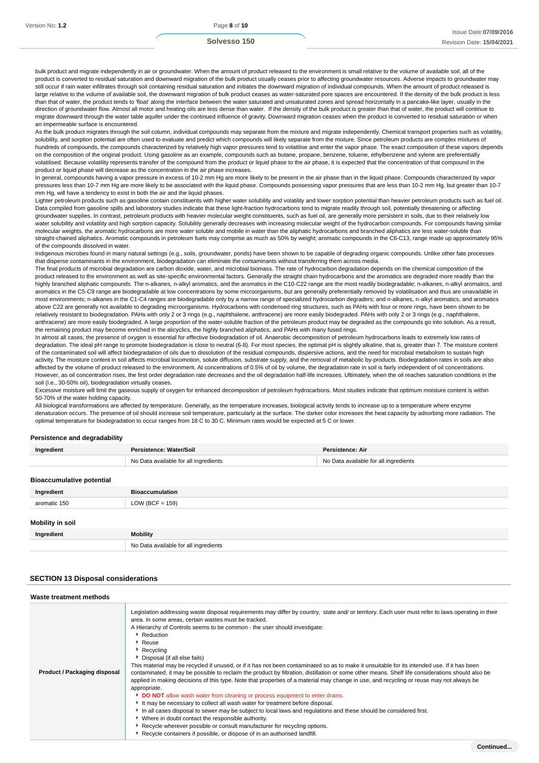bulk product and migrate independently in air or groundwater. When the amount of product released to the environment is small relative to the volume of available soil, all of the product is converted to residual saturation and downward migration of the bulk product usually ceases prior to affecting groundwater resources. Adverse impacts to groundwater may still occur if rain water infiltrates through soil containing residual saturation and initiates the downward migration of individual compounds. When the amount of product released is large relative to the volume of available soil, the downward migration of bulk product ceases as water-saturated pore spaces are encountered. If the density of the bulk product is less than that of water, the product tends to 'float' along the interface between the water saturated and unsaturated zones and spread horizontally in a pancake-like layer, usually in the direction of groundwater flow. Almost all motor and heating oils are less dense than water. If the density of the bulk product is greater than that of water, the product will continue to migrate downward through the water table aquifer under the continued influence of gravity. Downward migration ceases when the product is converted to residual saturation or when an impermeable surface is encountered.

As the bulk product migrates through the soil column, individual compounds may separate from the mixture and migrate independently. Chemical transport properties such as volatility, solubility, and sorption potential are often used to evaluate and predict which compounds will likely separate from the mixture. Since petroleum products are complex mixtures of hundreds of compounds, the compounds characterized by relatively high vapor pressures tend to volatilise and enter the vapor phase. The exact composition of these vapors depends on the composition of the original product. Using gasoline as an example, compounds such as butane, propane, benzene, toluene, ethylbenzene and xylene are preferentially volatilised. Because volatility represents transfer of the compound from the product or liquid phase to the air phase, it is expected that the concentration of that compound in the product or liquid phase will decrease as the concentration in the air phase increases.

In general, compounds having a vapor pressure in excess of 10-2 mm Hg are more likely to be present in the air phase than in the liquid phase. Compounds characterized by vapor pressures less than 10-7 mm Hg are more likely to be associated with the liquid phase. Compounds possessing vapor pressures that are less than 10-2 mm Hg, but greater than 10-7 mm Hg, will have a tendency to exist in both the air and the liquid phases.

Lighter petroleum products such as gasoline contain constituents with higher water solubility and volatility and lower sorption potential than heavier petroleum products such as fuel oil. Data compiled from gasoline spills and laboratory studies indicate that these light-fraction hydrocarbons tend to migrate readily through soil, potentially threatening or affecting groundwater supplies. In contrast, petroleum products with heavier molecular weight constituents, such as fuel oil, are generally more persistent in soils, due to their relatively low water solubility and volatility and high sorption capacity. Solubility generally decreases with increasing molecular weight of the hydrocarbon compounds. For compounds having similar molecular weights, the aromatic hydrocarbons are more water soluble and mobile in water than the aliphatic hydrocarbons and branched aliphatics are less water-soluble than straight-chained aliphatics. Aromatic compounds in petroleum fuels may comprise as much as 50% by weight; aromatic compounds in the C6-C13, range made up approximately 95% of the compounds dissolved in water.

Indigenous microbes found in many natural settings (e.g., soils, groundwater, ponds) have been shown to be capable of degrading organic compounds. Unlike other fate processes that disperse contaminants in the environment, biodegradation can eliminate the contaminants without transferring them across media.

The final products of microbial degradation are carbon dioxide, water, and microbial biomass. The rate of hydrocarbon degradation depends on the chemical composition of the product released to the environment as well as site-specific environmental factors. Generally the straight chain hydrocarbons and the aromatics are degraded more readily than the highly branched aliphatic compounds. The n-alkanes, n-alkyl aromatics, and the aromatics in the C10-C22 range are the most readily biodegradable; n-alkanes, n-alkyl aromatics, and aromatics in the C5-C9 range are biodegradable at low concentrations by some microorganisms, but are generally preferentially removed by volatilisation and thus are unavailable in most environments; n-alkanes in the C1-C4 ranges are biodegradable only by a narrow range of specialized hydrocarbon degraders; and n-alkanes, n-alkyl aromatics, and aromatics above C22 are generally not available to degrading microorganisms. Hydrocarbons with condensed ring structures, such as PAHs with four or more rings, have been shown to be relatively resistant to biodegradation. PAHs with only 2 or 3 rings (e.g., naphthalene, anthracene) are more easily biodegraded. PAHs with only 2 or 3 rings (e.g., naphthalene, anthracene) are more easily biodegraded. A large proportion of the water-soluble fraction of the petroleum product may be degraded as the compounds go into solution. As a result, the remaining product may become enriched in the alicyclics, the highly branched aliphatics, and PAHs with many fused rings.

In almost all cases, the presence of oxygen is essential for effective biodegradation of oil. Anaerobic decomposition of petroleum hydrocarbons leads to extremely low rates of degradation. The ideal pH range to promote biodegradation is close to neutral (6-8). For most species, the optimal pH is slightly alkaline, that is, greater than 7. The moisture content of the contaminated soil will affect biodegradation of oils due to dissolution of the residual compounds, dispersive actions, and the need for microbial metabolism to sustain high activity. The moisture content in soil affects microbial locomotion, solute diffusion, substrate supply, and the removal of metabolic by-products. Biodegradation rates in soils are also affected by the volume of product released to the environment. At concentrations of 0.5% of oil by volume, the degradation rate in soil is fairly independent of oil concentrations. However, as oil concentration rises, the first order degradation rate decreases and the oil degradation half-life increases. Ultimately, when the oil reaches saturation conditions in the soil (i.e., 30-50% oil), biodegradation virtually ceases.

Excessive moisture will limit the gaseous supply of oxygen for enhanced decomposition of petroleum hydrocarbons. Most studies indicate that optimum moisture content is within 50-70% of the water holding capacity.

All biological transformations are affected by temperature. Generally, as the temperature increases, biological activity tends to increase up to a temperature where enzyme denaturation occurs. The presence of oil should increase soil temperature, particularly at the surface. The darker color increases the heat capacity by adsorbing more radiation. The optimal temperature for biodegradation to occur ranges from 18 C to 30 C. Minimum rates would be expected at 5 C or lower.

#### **Persistence and degradability**

| Ingredient                       | Persistence: Water/Soil               | Persistence: Air                      |
|----------------------------------|---------------------------------------|---------------------------------------|
|                                  | No Data available for all ingredients | No Data available for all ingredients |
| <b>Bioaccumulative potential</b> |                                       |                                       |
| Ingredient                       | <b>Bioaccumulation</b>                |                                       |
| aromatic 150                     | LOW (BCF = $159$ )                    |                                       |
| Mobility in soil                 |                                       |                                       |
| Ingredient                       | <b>Mobility</b>                       |                                       |
|                                  | No Data available for all ingredients |                                       |

#### **SECTION 13 Disposal considerations**

| Waste treatment methods      |                                                                                                                                                                                                                                                                                                                                                                                                                                                                                                                                                                                                                                                                                                                                                                                                                                                                                                                                                                                                                                                                                                                                                                                                                                                              |
|------------------------------|--------------------------------------------------------------------------------------------------------------------------------------------------------------------------------------------------------------------------------------------------------------------------------------------------------------------------------------------------------------------------------------------------------------------------------------------------------------------------------------------------------------------------------------------------------------------------------------------------------------------------------------------------------------------------------------------------------------------------------------------------------------------------------------------------------------------------------------------------------------------------------------------------------------------------------------------------------------------------------------------------------------------------------------------------------------------------------------------------------------------------------------------------------------------------------------------------------------------------------------------------------------|
| Product / Packaging disposal | Legislation addressing waste disposal requirements may differ by country, state and/ or territory. Each user must refer to laws operating in their<br>area. In some areas, certain wastes must be tracked.<br>A Hierarchy of Controls seems to be common - the user should investigate:<br>Reduction<br>$\cdot$ Reuse<br>Recycling<br>Disposal (if all else fails)<br>This material may be recycled if unused, or if it has not been contaminated so as to make it unsuitable for its intended use. If it has been<br>contaminated, it may be possible to reclaim the product by filtration, distillation or some other means. Shelf life considerations should also be<br>applied in making decisions of this type. Note that properties of a material may change in use, and recycling or reuse may not always be<br>appropriate.<br>DO NOT allow wash water from cleaning or process equipment to enter drains.<br>It may be necessary to collect all wash water for treatment before disposal.<br>In all cases disposal to sewer may be subject to local laws and regulations and these should be considered first.<br>• Where in doubt contact the responsible authority.<br>▶ Recycle wherever possible or consult manufacturer for recycling options. |

Recycle containers if possible, or dispose of in an authorised landfill.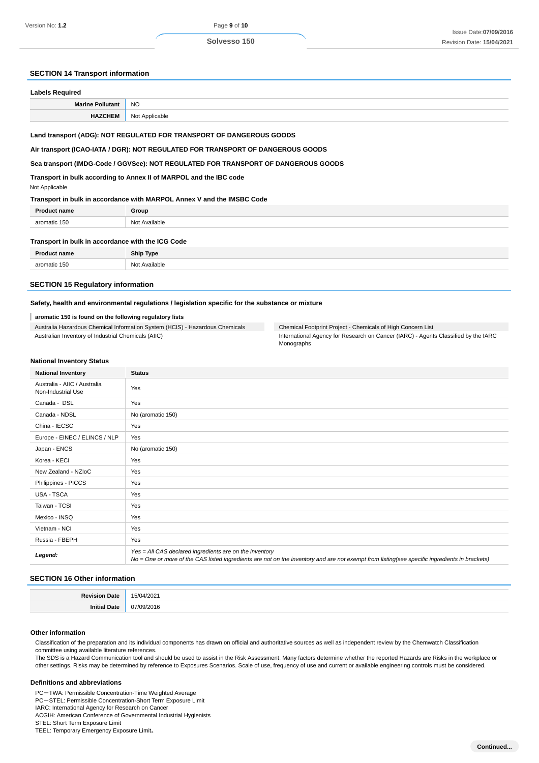## **SECTION 14 Transport information**

| <b>Labels Required</b>                                                          |                                                                                    |  |
|---------------------------------------------------------------------------------|------------------------------------------------------------------------------------|--|
| <b>Marine Pollutant</b>                                                         | N <sub>O</sub>                                                                     |  |
| <b>HAZCHEM</b>                                                                  | Not Applicable                                                                     |  |
| Land transport (ADG): NOT REGULATED FOR TRANSPORT OF DANGEROUS GOODS            |                                                                                    |  |
| Air transport (ICAO-IATA / DGR): NOT REGULATED FOR TRANSPORT OF DANGEROUS GOODS |                                                                                    |  |
|                                                                                 | Sea transport (IMDG-Code / GGVSee): NOT REGULATED FOR TRANSPORT OF DANGEROUS GOODS |  |
|                                                                                 | Transport in bulle assarding to Annoy II of MADDOL, and the IDC sade.              |  |

**Transport in bulk according to Annex II of MARPOL and the IBC code**

## Not Applicable

#### **Transport in bulk in accordance with MARPOL Annex V and the IMSBC Code**

| <b>Product name</b>                               | Group         |
|---------------------------------------------------|---------------|
| aromatic 150                                      | Not Available |
| Transport in bulk in accordance with the ICG Code |               |

| <b>Drodi</b> | <b>Ship Type</b> |
|--------------|------------------|
|              | Not              |
| aromatic 150 | Available        |
| .            | .                |

## **SECTION 15 Regulatory information**

## **Safety, health and environmental regulations / legislation specific for the substance or mixture**

#### **aromatic 150 is found on the following regulatory lists**

Australia Hazardous Chemical Information System (HCIS) - Hazardous Chemicals Australian Inventory of Industrial Chemicals (AIIC)

| Chemical Footprint Project - Chemicals of High Concern List                        |
|------------------------------------------------------------------------------------|
| International Agency for Research on Cancer (IARC) - Agents Classified by the IARC |
| Monographs                                                                         |

#### **National Inventory Status**

| <b>National Inventory</b>                          | <b>Status</b>                                                                                                                                                                                            |
|----------------------------------------------------|----------------------------------------------------------------------------------------------------------------------------------------------------------------------------------------------------------|
| Australia - AIIC / Australia<br>Non-Industrial Use | Yes                                                                                                                                                                                                      |
| Canada - DSL                                       | Yes                                                                                                                                                                                                      |
| Canada - NDSL                                      | No (aromatic 150)                                                                                                                                                                                        |
| China - IECSC                                      | Yes                                                                                                                                                                                                      |
| Europe - EINEC / ELINCS / NLP                      | Yes                                                                                                                                                                                                      |
| Japan - ENCS                                       | No (aromatic 150)                                                                                                                                                                                        |
| Korea - KECI                                       | Yes                                                                                                                                                                                                      |
| New Zealand - NZIoC                                | Yes                                                                                                                                                                                                      |
| Philippines - PICCS                                | Yes                                                                                                                                                                                                      |
| <b>USA - TSCA</b>                                  | Yes                                                                                                                                                                                                      |
| Taiwan - TCSI                                      | Yes                                                                                                                                                                                                      |
| Mexico - INSQ                                      | Yes                                                                                                                                                                                                      |
| Vietnam - NCI                                      | Yes                                                                                                                                                                                                      |
| Russia - FBEPH                                     | Yes                                                                                                                                                                                                      |
| Legend:                                            | Yes = All CAS declared ingredients are on the inventory<br>No = One or more of the CAS listed ingredients are not on the inventory and are not exempt from listing(see specific ingredients in brackets) |

#### **SECTION 16 Other information**

| в., | $\sim$ $\sim$ |
|-----|---------------|
|     |               |

#### **Other information**

Classification of the preparation and its individual components has drawn on official and authoritative sources as well as independent review by the Chemwatch Classification committee using available literature references.

The SDS is a Hazard Communication tool and should be used to assist in the Risk Assessment. Many factors determine whether the reported Hazards are Risks in the workplace or other settings. Risks may be determined by reference to Exposures Scenarios. Scale of use, frequency of use and current or available engineering controls must be considered.

#### **Definitions and abbreviations**

PC-TWA: Permissible Concentration-Time Weighted Average

PC-STEL: Permissible Concentration-Short Term Exposure Limit IARC: International Agency for Research on Cancer

ACGIH: American Conference of Governmental Industrial Hygienists

STEL: Short Term Exposure Limit

TEEL: Temporary Emergency Exposure Limit。